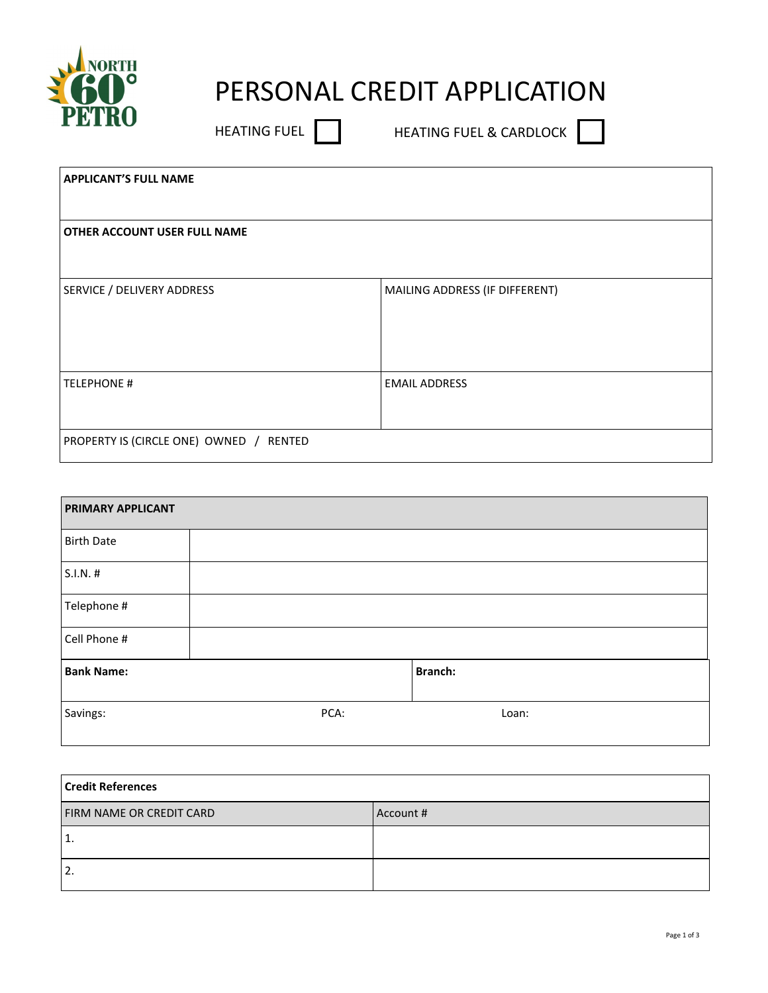

## PERSONAL CREDIT APPLICATION

HEATING FUEL **THEATING FUEL & CARDLOC** 

| <b>APPLICANT'S FULL NAME</b>            |                                |
|-----------------------------------------|--------------------------------|
|                                         |                                |
| <b>OTHER ACCOUNT USER FULL NAME</b>     |                                |
|                                         |                                |
| SERVICE / DELIVERY ADDRESS              | MAILING ADDRESS (IF DIFFERENT) |
|                                         |                                |
|                                         |                                |
| <b>TELEPHONE #</b>                      | <b>EMAIL ADDRESS</b>           |
|                                         |                                |
| PROPERTY IS (CIRCLE ONE) OWNED / RENTED |                                |
|                                         |                                |

| <b>PRIMARY APPLICANT</b> |      |         |  |  |
|--------------------------|------|---------|--|--|
| <b>Birth Date</b>        |      |         |  |  |
| S.I.N. #                 |      |         |  |  |
| Telephone #              |      |         |  |  |
| Cell Phone #             |      |         |  |  |
| <b>Bank Name:</b>        |      | Branch: |  |  |
| Savings:                 | PCA: | Loan:   |  |  |

| <b>Credit References</b>        |           |  |  |  |
|---------------------------------|-----------|--|--|--|
| <b>FIRM NAME OR CREDIT CARD</b> | Account # |  |  |  |
| 1.                              |           |  |  |  |
| 2.                              |           |  |  |  |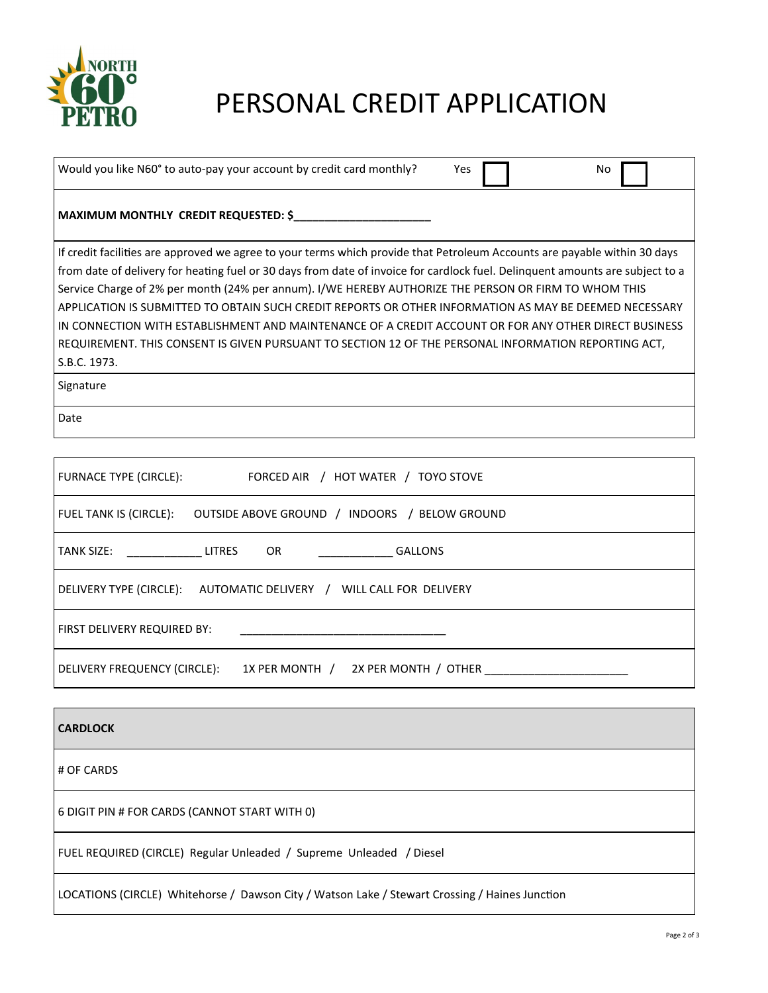

## PERSONAL CREDIT APPLICATION

| Would you like N60° to auto-pay your account by credit card monthly?                                                          | Yes | No |
|-------------------------------------------------------------------------------------------------------------------------------|-----|----|
| MAXIMUM MONTHLY CREDIT REQUESTED: \$                                                                                          |     |    |
| If credit facilities are approved we agree to your terms which provide that Petroleum Accounts are payable within 30 days     |     |    |
| from date of delivery for heating fuel or 30 days from date of invoice for cardlock fuel. Delinguent amounts are subject to a |     |    |
| Service Charge of 2% per month (24% per annum). I/WE HEREBY AUTHORIZE THE PERSON OR FIRM TO WHOM THIS                         |     |    |
| APPLICATION IS SUBMITTED TO OBTAIN SUCH CREDIT REPORTS OR OTHER INFORMATION AS MAY BE DEEMED NECESSARY                        |     |    |
| IN CONNECTION WITH ESTABLISHMENT AND MAINTENANCE OF A CREDIT ACCOUNT OR FOR ANY OTHER DIRECT BUSINESS                         |     |    |
| REQUIREMENT. THIS CONSENT IS GIVEN PURSUANT TO SECTION 12 OF THE PERSONAL INFORMATION REPORTING ACT,                          |     |    |
| S.B.C. 1973.                                                                                                                  |     |    |
| Signature                                                                                                                     |     |    |
| Date                                                                                                                          |     |    |
|                                                                                                                               |     |    |
|                                                                                                                               |     |    |

| <b>FURNACE TYPE (CIRCLE):</b><br>FORCED AIR / HOT WATER / TOYO STOVE    |  |  |
|-------------------------------------------------------------------------|--|--|
| FUEL TANK IS (CIRCLE):<br>OUTSIDE ABOVE GROUND / INDOORS / BELOW GROUND |  |  |
| OR GALLONS<br>TANK SIZE: LITRES                                         |  |  |
| DELIVERY TYPE (CIRCLE): AUTOMATIC DELIVERY / WILL CALL FOR DELIVERY     |  |  |
| FIRST DELIVERY REQUIRED BY:                                             |  |  |
| 2X PER MONTH / OTHER<br>DELIVERY FREQUENCY (CIRCLE):<br>1X PER MONTH /  |  |  |

| <b>CARDLOCK</b>                                                                                |
|------------------------------------------------------------------------------------------------|
| # OF CARDS                                                                                     |
| 6 DIGIT PIN # FOR CARDS (CANNOT START WITH 0)                                                  |
| FUEL REQUIRED (CIRCLE) Regular Unleaded / Supreme Unleaded / Diesel                            |
| LOCATIONS (CIRCLE) Whitehorse / Dawson City / Watson Lake / Stewart Crossing / Haines Junction |